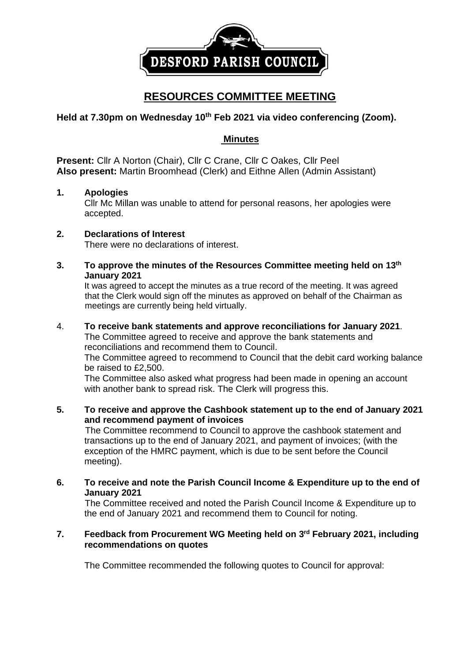

# **RESOURCES COMMITTEE MEETING**

# **Held at 7.30pm on Wednesday 10 th Feb 2021 via video conferencing (Zoom).**

# **Minutes**

**Present:** Cllr A Norton (Chair), Cllr C Crane, Cllr C Oakes, Cllr Peel **Also present:** Martin Broomhead (Clerk) and Eithne Allen (Admin Assistant)

## **1. Apologies**

Cllr Mc Millan was unable to attend for personal reasons, her apologies were accepted.

## **2. Declarations of Interest**

There were no declarations of interest.

**3. To approve the minutes of the Resources Committee meeting held on 13th January 2021**

It was agreed to accept the minutes as a true record of the meeting. It was agreed that the Clerk would sign off the minutes as approved on behalf of the Chairman as meetings are currently being held virtually.

### 4. **To receive bank statements and approve reconciliations for January 2021**.

The Committee agreed to receive and approve the bank statements and reconciliations and recommend them to Council.

The Committee agreed to recommend to Council that the debit card working balance be raised to £2,500.

The Committee also asked what progress had been made in opening an account with another bank to spread risk. The Clerk will progress this.

**5. To receive and approve the Cashbook statement up to the end of January 2021 and recommend payment of invoices** 

The Committee recommend to Council to approve the cashbook statement and transactions up to the end of January 2021, and payment of invoices; (with the exception of the HMRC payment, which is due to be sent before the Council meeting).

**6. To receive and note the Parish Council Income & Expenditure up to the end of January 2021**

The Committee received and noted the Parish Council Income & Expenditure up to the end of January 2021 and recommend them to Council for noting.

### **7. Feedback from Procurement WG Meeting held on 3 rd February 2021, including recommendations on quotes**

The Committee recommended the following quotes to Council for approval: